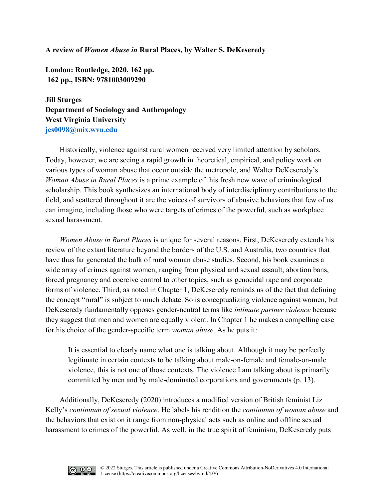## **A review of** *Women Abuse in* **Rural Places, by Walter S. DeKeseredy**

**London: Routledge, 2020, 162 pp. 162 pp., ISBN: 9781003009290** 

**Jill Sturges Department of Sociology and Anthropology West Virginia University [jes0098@mix.wvu.edu](mailto:jes0098@mix.wvu.edu)**

Historically, violence against rural women received very limited attention by scholars. Today, however, we are seeing a rapid growth in theoretical, empirical, and policy work on various types of woman abuse that occur outside the metropole, and Walter DeKeseredy's *Woman Abuse in Rural Places* is a prime example of this fresh new wave of criminological scholarship. This book synthesizes an international body of interdisciplinary contributions to the field, and scattered throughout it are the voices of survivors of abusive behaviors that few of us can imagine, including those who were targets of crimes of the powerful, such as workplace sexual harassment.

*Women Abuse in Rural Places* is unique for several reasons. First, DeKeseredy extends his review of the extant literature beyond the borders of the U.S. and Australia, two countries that have thus far generated the bulk of rural woman abuse studies. Second, his book examines a wide array of crimes against women, ranging from physical and sexual assault, abortion bans, forced pregnancy and coercive control to other topics, such as genocidal rape and corporate forms of violence. Third, as noted in Chapter 1, DeKeseredy reminds us of the fact that defining the concept "rural" is subject to much debate. So is conceptualizing violence against women, but DeKeseredy fundamentally opposes gender-neutral terms like *intimate partner violence* because they suggest that men and women are equally violent. In Chapter 1 he makes a compelling case for his choice of the gender-specific term *woman abuse*. As he puts it:

It is essential to clearly name what one is talking about. Although it may be perfectly legitimate in certain contexts to be talking about male-on-female and female-on-male violence, this is not one of those contexts. The violence I am talking about is primarily committed by men and by male-dominated corporations and governments (p. 13).

Additionally, DeKeseredy (2020) introduces a modified version of British feminist Liz Kelly's *continuum of sexual violence*. He labels his rendition the *continuum of woman abuse* and the behaviors that exist on it range from non-physical acts such as online and offline sexual harassment to crimes of the powerful. As well, in the true spirit of feminism, DeKeseredy puts